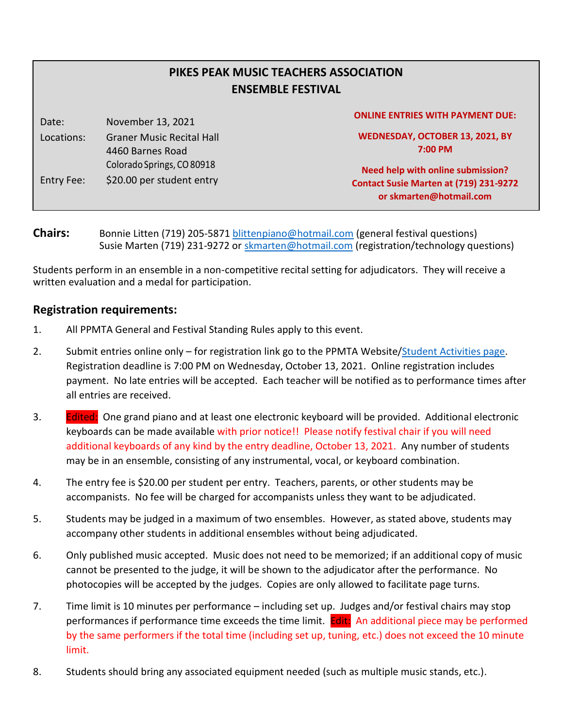## **PIKES PEAK MUSIC TEACHERS ASSOCIATION ENSEMBLE FESTIVAL**

Date: November 13, 2021 Locations: Graner Music Recital Hall 4460 Barnes Road Colorado Springs, CO80918 Entry Fee: \$20.00 per student entry **ONLINE ENTRIES WITH PAYMENT DUE: WEDNESDAY, OCTOBER 13, 2021, BY 7:00 PM Need help with online submission? Contact Susie Marten at (719) 231-9272 or skmarten@hotmail.com**

**Chairs:** Bonnie Litten (719) 205-5871 [blittenpiano@hotmail.com](mailto:blittenpiano@hotmail.com) (general festival questions) Susie Marten (719) 231-9272 or **skmarten@hotmail.com** (registration/technology questions)

Students perform in an ensemble in a non-competitive recital setting for adjudicators. They will receive a written evaluation and a medal for participation.

## **Registration requirements:**

- 1. All PPMTA General and Festival Standing Rules apply to this event.
- 2. Submit entries online only for registration link go to the PPMTA Website[/Student Activities page.](https://www.ppmta.org/ppmta-student-activities.html) Registration deadline is 7:00 PM on Wednesday, October 13, 2021. Online registration includes payment. No late entries will be accepted. Each teacher will be notified as to performance times after all entries are received.
- 3. **Edited:** One grand piano and at least one electronic keyboard will be provided. Additional electronic keyboards can be made available with prior notice!! Please notify festival chair if you will need additional keyboards of any kind by the entry deadline, October 13, 2021. Any number of students may be in an ensemble, consisting of any instrumental, vocal, or keyboard combination.
- 4. The entry fee is \$20.00 per student per entry. Teachers, parents, or other students may be accompanists. No fee will be charged for accompanists unless they want to be adjudicated.
- 5. Students may be judged in a maximum of two ensembles. However, as stated above, students may accompany other students in additional ensembles without being adjudicated.
- 6. Only published music accepted. Music does not need to be memorized; if an additional copy of music cannot be presented to the judge, it will be shown to the adjudicator after the performance. No photocopies will be accepted by the judges. Copies are only allowed to facilitate page turns.
- 7. Time limit is 10 minutes per performance including set up. Judges and/or festival chairs may stop performances if performance time exceeds the time limit. Edit: An additional piece may be performed by the same performers if the total time (including set up, tuning, etc.) does not exceed the 10 minute limit.
- 8. Students should bring any associated equipment needed (such as multiple music stands, etc.).